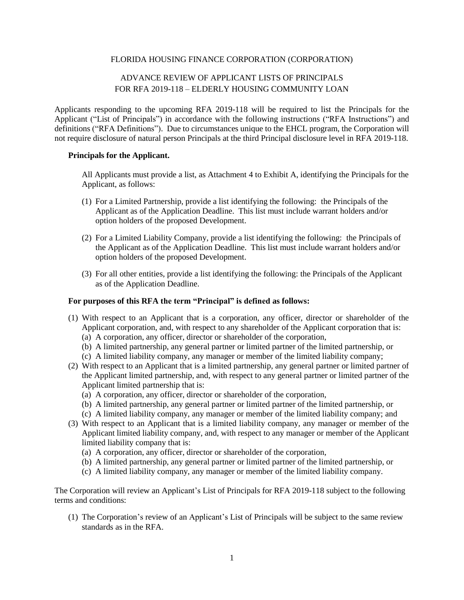# FLORIDA HOUSING FINANCE CORPORATION (CORPORATION)

# ADVANCE REVIEW OF APPLICANT LISTS OF PRINCIPALS FOR RFA 2019-118 – ELDERLY HOUSING COMMUNITY LOAN

Applicants responding to the upcoming RFA 2019-118 will be required to list the Principals for the Applicant ("List of Principals") in accordance with the following instructions ("RFA Instructions") and definitions ("RFA Definitions"). Due to circumstances unique to the EHCL program, the Corporation will not require disclosure of natural person Principals at the third Principal disclosure level in RFA 2019-118.

# **Principals for the Applicant.**

All Applicants must provide a list, as Attachment 4 to Exhibit A, identifying the Principals for the Applicant, as follows:

- (1) For a Limited Partnership, provide a list identifying the following: the Principals of the Applicant as of the Application Deadline. This list must include warrant holders and/or option holders of the proposed Development.
- (2) For a Limited Liability Company, provide a list identifying the following: the Principals of the Applicant as of the Application Deadline. This list must include warrant holders and/or option holders of the proposed Development.
- (3) For all other entities, provide a list identifying the following: the Principals of the Applicant as of the Application Deadline.

### **For purposes of this RFA the term "Principal" is defined as follows:**

- (1) With respect to an Applicant that is a corporation, any officer, director or shareholder of the Applicant corporation, and, with respect to any shareholder of the Applicant corporation that is:
	- (a) A corporation, any officer, director or shareholder of the corporation,
	- (b) A limited partnership, any general partner or limited partner of the limited partnership, or
	- (c) A limited liability company, any manager or member of the limited liability company;
- (2) With respect to an Applicant that is a limited partnership, any general partner or limited partner of the Applicant limited partnership, and, with respect to any general partner or limited partner of the Applicant limited partnership that is:
	- (a) A corporation, any officer, director or shareholder of the corporation,
	- (b) A limited partnership, any general partner or limited partner of the limited partnership, or
	- (c) A limited liability company, any manager or member of the limited liability company; and
- (3) With respect to an Applicant that is a limited liability company, any manager or member of the Applicant limited liability company, and, with respect to any manager or member of the Applicant limited liability company that is:
	- (a) A corporation, any officer, director or shareholder of the corporation,
	- (b) A limited partnership, any general partner or limited partner of the limited partnership, or
	- (c) A limited liability company, any manager or member of the limited liability company.

The Corporation will review an Applicant's List of Principals for RFA 2019-118 subject to the following terms and conditions:

(1) The Corporation's review of an Applicant's List of Principals will be subject to the same review standards as in the RFA.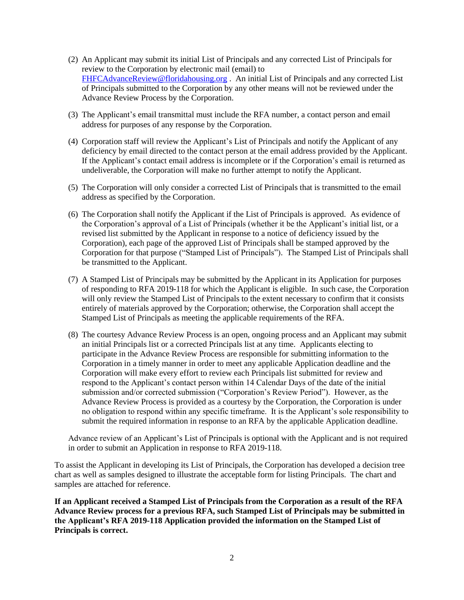- (2) An Applicant may submit its initial List of Principals and any corrected List of Principals for review to the Corporation by electronic mail (email) to [FHFCAdvanceReview@floridahousing.org](mailto:FHFCAdvanceReview@floridahousing.org) . An initial List of Principals and any corrected List of Principals submitted to the Corporation by any other means will not be reviewed under the Advance Review Process by the Corporation.
- (3) The Applicant's email transmittal must include the RFA number, a contact person and email address for purposes of any response by the Corporation.
- (4) Corporation staff will review the Applicant's List of Principals and notify the Applicant of any deficiency by email directed to the contact person at the email address provided by the Applicant. If the Applicant's contact email address is incomplete or if the Corporation's email is returned as undeliverable, the Corporation will make no further attempt to notify the Applicant.
- (5) The Corporation will only consider a corrected List of Principals that is transmitted to the email address as specified by the Corporation.
- (6) The Corporation shall notify the Applicant if the List of Principals is approved. As evidence of the Corporation's approval of a List of Principals (whether it be the Applicant's initial list, or a revised list submitted by the Applicant in response to a notice of deficiency issued by the Corporation), each page of the approved List of Principals shall be stamped approved by the Corporation for that purpose ("Stamped List of Principals"). The Stamped List of Principals shall be transmitted to the Applicant.
- (7) A Stamped List of Principals may be submitted by the Applicant in its Application for purposes of responding to RFA 2019-118 for which the Applicant is eligible. In such case, the Corporation will only review the Stamped List of Principals to the extent necessary to confirm that it consists entirely of materials approved by the Corporation; otherwise, the Corporation shall accept the Stamped List of Principals as meeting the applicable requirements of the RFA.
- (8) The courtesy Advance Review Process is an open, ongoing process and an Applicant may submit an initial Principals list or a corrected Principals list at any time. Applicants electing to participate in the Advance Review Process are responsible for submitting information to the Corporation in a timely manner in order to meet any applicable Application deadline and the Corporation will make every effort to review each Principals list submitted for review and respond to the Applicant's contact person within 14 Calendar Days of the date of the initial submission and/or corrected submission ("Corporation's Review Period"). However, as the Advance Review Process is provided as a courtesy by the Corporation, the Corporation is under no obligation to respond within any specific timeframe. It is the Applicant's sole responsibility to submit the required information in response to an RFA by the applicable Application deadline.

Advance review of an Applicant's List of Principals is optional with the Applicant and is not required in order to submit an Application in response to RFA 2019-118.

To assist the Applicant in developing its List of Principals, the Corporation has developed a decision tree chart as well as samples designed to illustrate the acceptable form for listing Principals. The chart and samples are attached for reference.

**If an Applicant received a Stamped List of Principals from the Corporation as a result of the RFA Advance Review process for a previous RFA, such Stamped List of Principals may be submitted in the Applicant's RFA 2019-118 Application provided the information on the Stamped List of Principals is correct.**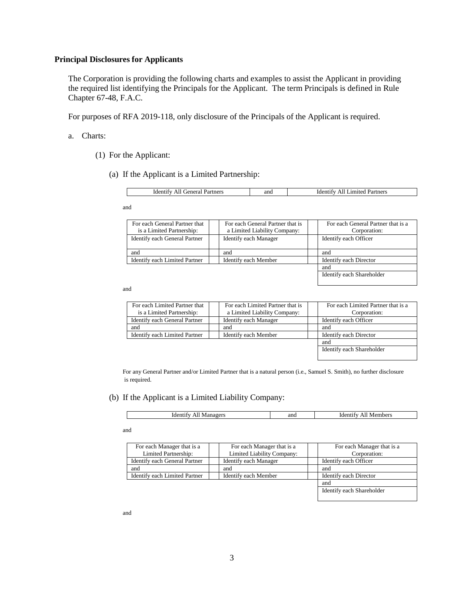#### **Principal Disclosures for Applicants**

The Corporation is providing the following charts and examples to assist the Applicant in providing the required list identifying the Principals for the Applicant. The term Principals is defined in Rule Chapter 67-48, F.A.C.

For purposes of RFA 2019-118, only disclosure of the Principals of the Applicant is required.

- a. Charts:
	- (1) For the Applicant:
		- (a) If the Applicant is a Limited Partnership:

| Partners<br>reners'<br>.dent <sup>.</sup><br>лаг<br>- 11 | and | Partners<br>Amr<br>- Ider<br>$-100$<br>AШ |
|----------------------------------------------------------|-----|-------------------------------------------|

and

| For each General Partner that | For each General Partner that is | For each General Partner that is a |
|-------------------------------|----------------------------------|------------------------------------|
| is a Limited Partnership:     | a Limited Liability Company:     | Corporation:                       |
| Identify each General Partner | <b>Identify each Manager</b>     | Identify each Officer              |
|                               |                                  |                                    |
| and                           | and                              | and                                |
| Identify each Limited Partner | Identify each Member             | Identify each Director             |
|                               |                                  | and                                |

Identify each Shareholder

and

| For each Limited Partner that is | For each Limited Partner that is a |
|----------------------------------|------------------------------------|
| a Limited Liability Company:     | Corporation:                       |
| <b>Identify each Manager</b>     | Identify each Officer              |
| and                              | and                                |
| Identify each Member             | Identify each Director             |
|                                  | and                                |
|                                  | Identify each Shareholder          |
|                                  |                                    |

For any General Partner and/or Limited Partner that is a natural person (i.e., Samuel S. Smith), no further disclosure is required.

(b) If the Applicant is a Limited Liability Company:

| and<br>. Manager:<br>1den <sup>+</sup><br>embers<br>ider<br>. Mer<br>20 U S<br>- 11 |
|-------------------------------------------------------------------------------------|
|-------------------------------------------------------------------------------------|

and

| For each Manager that is a    | For each Manager that is a   | For each Manager that is a |
|-------------------------------|------------------------------|----------------------------|
| Limited Partnership:          | Limited Liability Company:   | Corporation:               |
| Identify each General Partner | <b>Identify each Manager</b> | Identify each Officer      |
| and                           | and                          | and                        |
| Identify each Limited Partner | Identify each Member         | Identify each Director     |
|                               |                              | and                        |
|                               |                              | Identify each Shareholder  |
|                               |                              |                            |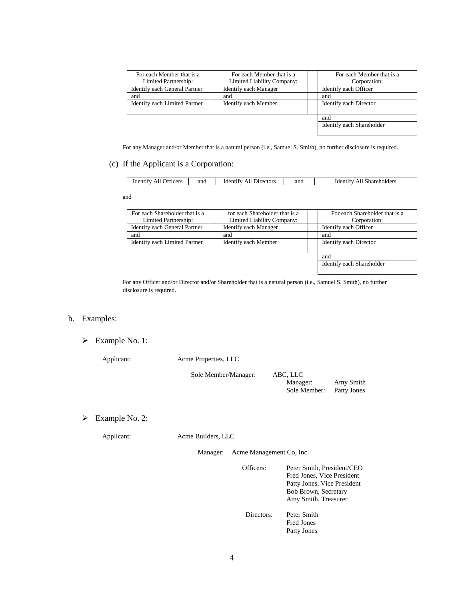| For each Member that is a<br>Limited Partnership: | For each Member that is a<br>Limited Liability Company: | For each Member that is a<br>Corporation: |
|---------------------------------------------------|---------------------------------------------------------|-------------------------------------------|
| Identify each General Partner                     | <b>Identify each Manager</b>                            | Identify each Officer                     |
| and                                               | and                                                     | and                                       |
| Identify each Limited Partner                     | Identify each Member                                    | Identify each Director                    |
|                                                   |                                                         | and                                       |
|                                                   |                                                         | Identify each Shareholder                 |

For any Manager and/or Member that is a natural person (i.e., Samuel S. Smith), no further disclosure is required.

(c) If the Applicant is a Corporation:

| All Officers<br><b>Identify</b><br>Directors<br>and<br>and<br>Identify<br>AIL | Shareholders<br>AII<br>Identify |
|-------------------------------------------------------------------------------|---------------------------------|
|-------------------------------------------------------------------------------|---------------------------------|

and

| For each Shareholder that is a<br>Limited Partnership: | for each Shareholder that is a<br>Limited Liability Company: | For each Shareholder that is a<br>Corporation: |
|--------------------------------------------------------|--------------------------------------------------------------|------------------------------------------------|
| Identify each General Partner                          | <b>Identify each Manager</b>                                 | Identify each Officer                          |
| and                                                    | and                                                          | and                                            |
| Identify each Limited Partner                          | Identify each Member                                         | Identify each Director                         |
|                                                        |                                                              |                                                |
|                                                        |                                                              | and                                            |
|                                                        |                                                              | Identify each Shareholder                      |

For any Officer and/or Director and/or Shareholder that is a natural person (i.e., Samuel S. Smith), no further disclosure is required.

# b. Examples:

Example No. 1:

Applicant: Acme Properties, LLC

Sole Member/Manag

| ger: | ABC, LLC     |             |
|------|--------------|-------------|
|      | Manager:     | Amy Smith   |
|      | Sole Member: | Patty Jones |

# Example No. 2:

Applicant: Acme Builders, LLC

Manager: Acme Management Co, Inc.

| Officers:  | Peter Smith, President/CEO<br>Fred Jones, Vice President<br>Patty Jones, Vice President<br>Bob Brown, Secretary<br>Amy Smith, Treasurer |
|------------|-----------------------------------------------------------------------------------------------------------------------------------------|
| Directors: | Peter Smith<br>Fred Jones<br>Patty Jones                                                                                                |